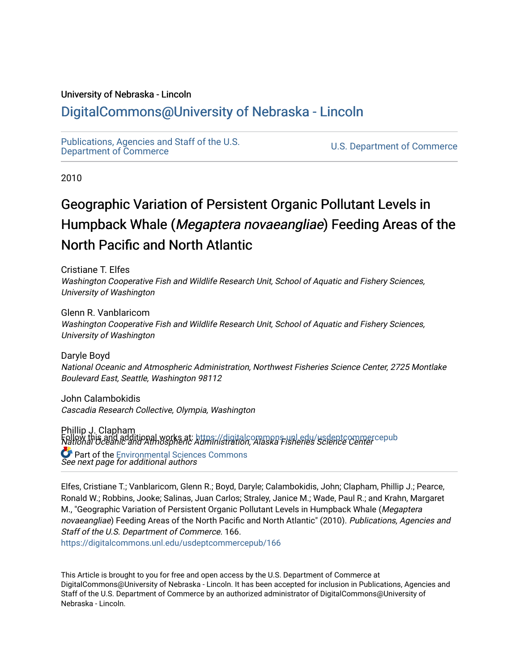# University of Nebraska - Lincoln

# [DigitalCommons@University of Nebraska - Lincoln](https://digitalcommons.unl.edu/)

[Publications, Agencies and Staff of the U.S.](https://digitalcommons.unl.edu/usdeptcommercepub)

U.S. [Department of Commerce](https://digitalcommons.unl.edu/usdeptcommercepub)

2010

# Geographic Variation of Persistent Organic Pollutant Levels in Humpback Whale (Megaptera novaeangliae) Feeding Areas of the North Pacific and North Atlantic

Cristiane T. Elfes Washington Cooperative Fish and Wildlife Research Unit, School of Aquatic and Fishery Sciences, University of Washington

Glenn R. Vanblaricom Washington Cooperative Fish and Wildlife Research Unit, School of Aquatic and Fishery Sciences, University of Washington

Daryle Boyd National Oceanic and Atmospheric Administration, Northwest Fisheries Science Center, 2725 Montlake Boulevard East, Seattle, Washington 98112

John Calambokidis Cascadia Research Collective, Olympia, Washington

Phillip J. Clapham National Oceanic and Atmospheric Administration, Alaska Fisheries Science Center Follow this and additional works at: [https://digitalcommons.unl.edu/usdeptcommercepub](https://digitalcommons.unl.edu/usdeptcommercepub?utm_source=digitalcommons.unl.edu%2Fusdeptcommercepub%2F166&utm_medium=PDF&utm_campaign=PDFCoverPages) See next page for additional authors Part of the [Environmental Sciences Commons](http://network.bepress.com/hgg/discipline/167?utm_source=digitalcommons.unl.edu%2Fusdeptcommercepub%2F166&utm_medium=PDF&utm_campaign=PDFCoverPages)

Elfes, Cristiane T.; Vanblaricom, Glenn R.; Boyd, Daryle; Calambokidis, John; Clapham, Phillip J.; Pearce, Ronald W.; Robbins, Jooke; Salinas, Juan Carlos; Straley, Janice M.; Wade, Paul R.; and Krahn, Margaret M., "Geographic Variation of Persistent Organic Pollutant Levels in Humpback Whale (Megaptera novaeangliae) Feeding Areas of the North Pacific and North Atlantic" (2010). Publications, Agencies and Staff of the U.S. Department of Commerce. 166. [https://digitalcommons.unl.edu/usdeptcommercepub/166](https://digitalcommons.unl.edu/usdeptcommercepub/166?utm_source=digitalcommons.unl.edu%2Fusdeptcommercepub%2F166&utm_medium=PDF&utm_campaign=PDFCoverPages) 

This Article is brought to you for free and open access by the U.S. Department of Commerce at DigitalCommons@University of Nebraska - Lincoln. It has been accepted for inclusion in Publications, Agencies and Staff of the U.S. Department of Commerce by an authorized administrator of DigitalCommons@University of Nebraska - Lincoln.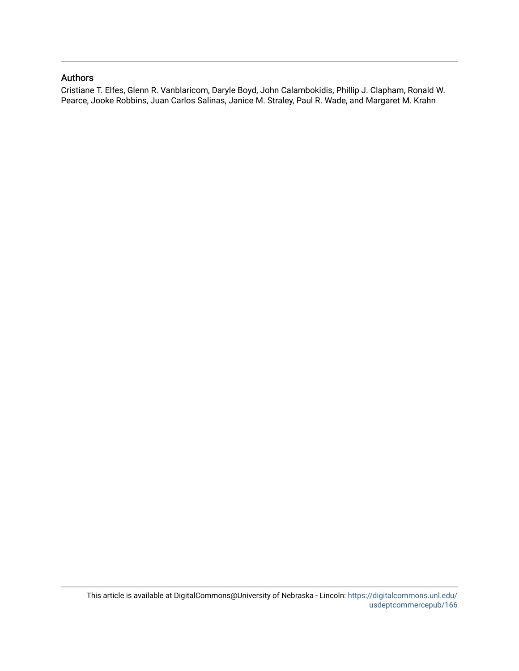# Authors

Cristiane T. Elfes, Glenn R. Vanblaricom, Daryle Boyd, John Calambokidis, Phillip J. Clapham, Ronald W. Pearce, Jooke Robbins, Juan Carlos Salinas, Janice M. Straley, Paul R. Wade, and Margaret M. Krahn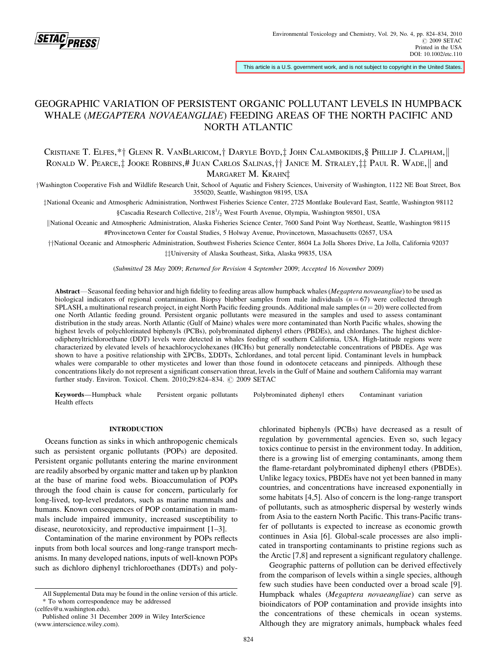

This article is a U.S. government work, and is not subject to copyright in the United States.

# GEOGRAPHIC VARIATION OF PERSISTENT ORGANIC POLLUTANT LEVELS IN HUMPBACK WHALE (MEGAPTERA NOVAEANGLIAE) FEEDING AREAS OF THE NORTH PACIFIC AND NORTH ATLANTIC

CRISTIANE T. ELFES, \*† GLENN R. VANBLARICOM,† DARYLE BOYD,‡ JOHN CALAMBOKIDIS, § PHILLIP J. CLAPHAM, RONALD W. PEARCE, JOOKE ROBBINS, # JUAN CARLOS SALINAS,  $\dagger \dagger$  JANICE M. STRALEY,  $\ddagger \ddagger$  PAUL R. WADE, || and MARGARET M. KRAHNI

yWashington Cooperative Fish and Wildlife Research Unit, School of Aquatic and Fishery Sciences, University of Washington, 1122 NE Boat Street, Box 355020, Seattle, Washington 98195, USA

zNational Oceanic and Atmospheric Administration, Northwest Fisheries Science Center, 2725 Montlake Boulevard East, Seattle, Washington 98112 §Cascadia Research Collective, 218<sup>1</sup>/<sub>2</sub> West Fourth Avenue, Olympia, Washington 98501, USA

||National Oceanic and Atmospheric Administration, Alaska Fisheries Science Center, 7600 Sand Point Way Northeast, Seattle, Washington 98115 #Provincetown Center for Coastal Studies, 5 Holway Avenue, Provincetown, Massachusetts 02657, USA

yyNational Oceanic and Atmospheric Administration, Southwest Fisheries Science Center, 8604 La Jolla Shores Drive, La Jolla, California 92037  $\ddagger\ddagger$ University of Alaska Southeast, Sitka, Alaska 99835, USA

(Submitted 28 May 2009; Returned for Revision 4 September 2009; Accepted 16 November 2009)

Abstract—Seasonal feeding behavior and high fidelity to feeding areas allow humpback whales (Megaptera novaeangliae) to be used as biological indicators of regional contamination. Biopsy blubber samples from male individuals  $(n = 67)$  were collected through SPLASH, a multinational research project, in eight North Pacific feeding grounds. Additional male samples ( $n = 20$ ) were collected from one North Atlantic feeding ground. Persistent organic pollutants were measured in the samples and used to assess contaminant distribution in the study areas. North Atlantic (Gulf of Maine) whales were more contaminated than North Pacific whales, showing the highest levels of polychlorinated biphenyls (PCBs), polybrominated diphenyl ethers (PBDEs), and chlordanes. The highest dichlorodiphenyltrichloroethane (DDT) levels were detected in whales feeding off southern California, USA. High-latitude regions were characterized by elevated levels of hexachlorocyclohexanes (HCHs) but generally nondetectable concentrations of PBDEs. Age was shown to have a positive relationship with  $\Sigma$ PCBs,  $\Sigma$ DDTs,  $\Sigma$ chlordanes, and total percent lipid. Contaminant levels in humpback whales were comparable to other mysticetes and lower than those found in odontocete cetaceans and pinnipeds. Although these concentrations likely do not represent a significant conservation threat, levels in the Gulf of Maine and southern California may warrant further study. Environ. Toxicol. Chem.  $2010;29:824-834.$   $\odot$  2009 SETAC

Keywords—Humpback whale Persistent organic pollutants Polybrominated diphenyl ethers Contaminant variation Health effects

#### INTRODUCTION

Oceans function as sinks in which anthropogenic chemicals such as persistent organic pollutants (POPs) are deposited. Persistent organic pollutants entering the marine environment are readily absorbed by organic matter and taken up by plankton at the base of marine food webs. Bioaccumulation of POPs through the food chain is cause for concern, particularly for long-lived, top-level predators, such as marine mammals and humans. Known consequences of POP contamination in mammals include impaired immunity, increased susceptibility to disease, neurotoxicity, and reproductive impairment [1–3].

Contamination of the marine environment by POPs reflects inputs from both local sources and long-range transport mechanisms. In many developed nations, inputs of well-known POPs such as dichloro diphenyl trichloroethanes (DDTs) and polychlorinated biphenyls (PCBs) have decreased as a result of regulation by governmental agencies. Even so, such legacy toxics continue to persist in the environment today. In addition, there is a growing list of emerging contaminants, among them the flame-retardant polybrominated diphenyl ethers (PBDEs). Unlike legacy toxics, PBDEs have not yet been banned in many countries, and concentrations have increased exponentially in some habitats [4,5]. Also of concern is the long-range transport of pollutants, such as atmospheric dispersal by westerly winds from Asia to the eastern North Pacific. This trans-Pacific transfer of pollutants is expected to increase as economic growth continues in Asia [6]. Global-scale processes are also implicated in transporting contaminants to pristine regions such as the Arctic [7,8] and represent a significant regulatory challenge.

Geographic patterns of pollution can be derived effectively from the comparison of levels within a single species, although few such studies have been conducted over a broad scale [9]. Humpback whales (Megaptera novaeangliae) can serve as bioindicators of POP contamination and provide insights into the concentrations of these chemicals in ocean systems. Although they are migratory animals, humpback whales feed

All Supplemental Data may be found in the online version of this article. \* To whom correspondence may be addressed

<sup>(</sup>celfes@u.washington.edu).

Published online 31 December 2009 in Wiley InterScience (www.interscience.wiley.com).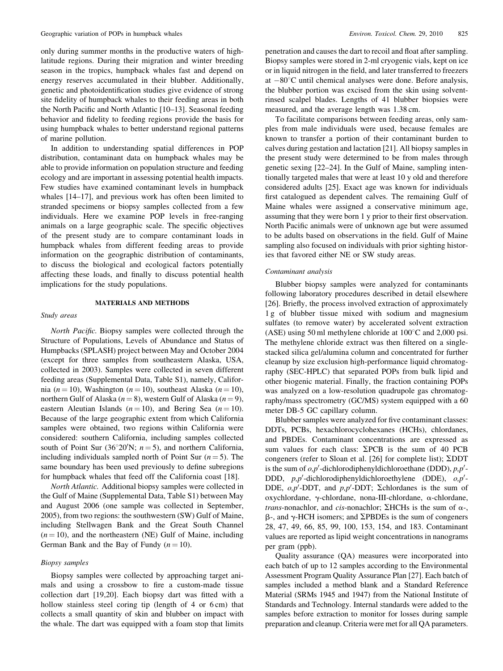only during summer months in the productive waters of highlatitude regions. During their migration and winter breeding season in the tropics, humpback whales fast and depend on energy reserves accumulated in their blubber. Additionally, genetic and photoidentification studies give evidence of strong site fidelity of humpback whales to their feeding areas in both the North Pacific and North Atlantic [10–13]. Seasonal feeding behavior and fidelity to feeding regions provide the basis for using humpback whales to better understand regional patterns of marine pollution.

In addition to understanding spatial differences in POP distribution, contaminant data on humpback whales may be able to provide information on population structure and feeding ecology and are important in assessing potential health impacts. Few studies have examined contaminant levels in humpback whales [14–17], and previous work has often been limited to stranded specimens or biopsy samples collected from a few individuals. Here we examine POP levels in free-ranging animals on a large geographic scale. The specific objectives of the present study are to compare contaminant loads in humpback whales from different feeding areas to provide information on the geographic distribution of contaminants, to discuss the biological and ecological factors potentially affecting these loads, and finally to discuss potential health implications for the study populations.

#### MATERIALS AND METHODS

#### Study areas

North Pacific. Biopsy samples were collected through the Structure of Populations, Levels of Abundance and Status of Humpbacks (SPLASH) project between May and October 2004 (except for three samples from southeastern Alaska, USA, collected in 2003). Samples were collected in seven different feeding areas (Supplemental Data, Table S1), namely, California (n = 10), Washington (n = 10), southeast Alaska (n = 10), northern Gulf of Alaska ( $n = 8$ ), western Gulf of Alaska ( $n = 9$ ), eastern Aleutian Islands ( $n = 10$ ), and Bering Sea ( $n = 10$ ). Because of the large geographic extent from which California samples were obtained, two regions within California were considered: southern California, including samples collected south of Point Sur (36°20′N;  $n = 5$ ), and northern California, including individuals sampled north of Point Sur  $(n = 5)$ . The same boundary has been used previously to define subregions for humpback whales that feed off the California coast [18].

North Atlantic. Additional biopsy samples were collected in the Gulf of Maine (Supplemental Data, Table S1) between May and August 2006 (one sample was collected in September, 2005), from two regions: the southwestern (SW) Gulf of Maine, including Stellwagen Bank and the Great South Channel  $(n = 10)$ , and the northeastern (NE) Gulf of Maine, including German Bank and the Bay of Fundy  $(n = 10)$ .

#### Biopsy samples

Biopsy samples were collected by approaching target animals and using a crossbow to fire a custom-made tissue collection dart [19,20]. Each biopsy dart was fitted with a hollow stainless steel coring tip (length of 4 or 6 cm) that collects a small quantity of skin and blubber on impact with the whale. The dart was equipped with a foam stop that limits penetration and causes the dart to recoil and float after sampling. Biopsy samples were stored in 2-ml cryogenic vials, kept on ice or in liquid nitrogen in the field, and later transferred to freezers at  $-80^{\circ}$ C until chemical analyses were done. Before analysis, the blubber portion was excised from the skin using solventrinsed scalpel blades. Lengths of 41 blubber biopsies were measured, and the average length was 1.38 cm.

To facilitate comparisons between feeding areas, only samples from male individuals were used, because females are known to transfer a portion of their contaminant burden to calves during gestation and lactation [21]. All biopsy samples in the present study were determined to be from males through genetic sexing [22–24]. In the Gulf of Maine, sampling intentionally targeted males that were at least 10 y old and therefore considered adults [25]. Exact age was known for individuals first catalogued as dependent calves. The remaining Gulf of Maine whales were assigned a conservative minimum age, assuming that they were born 1 y prior to their first observation. North Pacific animals were of unknown age but were assumed to be adults based on observations in the field. Gulf of Maine sampling also focused on individuals with prior sighting histories that favored either NE or SW study areas.

#### Contaminant analysis

Blubber biopsy samples were analyzed for contaminants following laboratory procedures described in detail elsewhere [26]. Briefly, the process involved extraction of approximately 1 g of blubber tissue mixed with sodium and magnesium sulfates (to remove water) by accelerated solvent extraction (ASE) using 50 ml methylene chloride at  $100^{\circ}$ C and 2,000 psi. The methylene chloride extract was then filtered on a singlestacked silica gel/alumina column and concentrated for further cleanup by size exclusion high-performance liquid chromatography (SEC-HPLC) that separated POPs from bulk lipid and other biogenic material. Finally, the fraction containing POPs was analyzed on a low-resolution quadrupole gas chromatography/mass spectrometry (GC/MS) system equipped with a 60 meter DB-5 GC capillary column.

Blubber samples were analyzed for five contaminant classes: DDTs, PCBs, hexachlorocyclohexanes (HCHs), chlordanes, and PBDEs. Contaminant concentrations are expressed as sum values for each class:  $\Sigma$ PCB is the sum of 40 PCB congeners (refer to Sloan et al. [26] for complete list);  $\Sigma$ DDT is the sum of  $o, p'$ -dichlorodiphenyldichloroethane (DDD),  $p, p'$ -DDD,  $p, p'$ -dichlorodiphenyldichloroethylene (DDE),  $o, p'$ -DDE,  $o, p'$ -DDT, and  $p, p'$ -DDT;  $\Sigma$ chlordanes is the sum of oxychlordane,  $\gamma$ -chlordane, nona-III-chlordane,  $\alpha$ -chlordane, *trans*-nonachlor, and *cis*-nonachlor;  $\Sigma$ HCHs is the sum of  $\alpha$ -,  $\beta$ -, and  $\gamma$ -HCH isomers; and  $\Sigma$ PBDEs is the sum of congeners 28, 47, 49, 66, 85, 99, 100, 153, 154, and 183. Contaminant values are reported as lipid weight concentrations in nanograms per gram (ppb).

Quality assurance (QA) measures were incorporated into each batch of up to 12 samples according to the Environmental Assessment Program Quality Assurance Plan [27]. Each batch of samples included a method blank and a Standard Reference Material (SRMs 1945 and 1947) from the National Institute of Standards and Technology. Internal standards were added to the samples before extraction to monitor for losses during sample preparation and cleanup. Criteria were met for all QA parameters.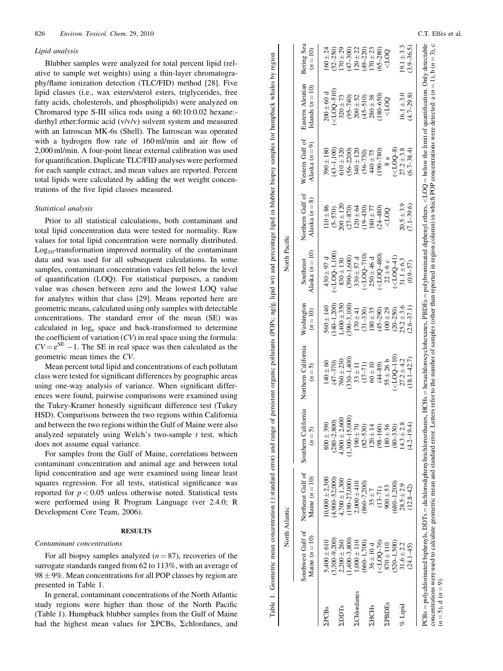#### Lipid analysis

Blubber samples were analyzed for total percent lipid (relative to sample wet weights) using a thin-layer chromatography/flame ionization detection (TLC/FID) method [28]. Five lipid classes (i.e., wax esters/sterol esters, triglycerides, free fatty acids, cholesterols, and phospholipids) were analyzed on Chromarod type S-III silica rods using a 60:10:0.02 hexane: diethyl ether:formic acid (v/v/v) solvent system and measured with an Iatroscan MK-6s (Shell). The Iatroscan was operated with a hydrogen flow rate of 160 ml/min and air flow of 2,000 ml/min. A four-point linear external calibration was used for quantification. Duplicate TLC/FID analyses were performed for each sample extract, and mean values are reported. Percent total lipids were calculated by adding the wet weight concentrations of the five lipid classes measured.

#### Statistical analysis

Prior to all statistical calculations, both contaminant and total lipid concentration data were tested for normality. Raw values for total lipid concentration were normally distributed.  $Log<sub>10</sub>$ -transformation improved normality of the contaminant data and was used for all subsequent calculations. In some samples, contaminant concentration values fell below the level of quantification (LOQ). For statistical purposes, a random value was chosen between zero and the lowest LOQ value for analytes within that class [29]. Means reported here are geometric means, calculated using only samples with detectable concentrations. The standard error of the mean (SE) was calculated in log <sup>e</sup> space and back-transformed to determine the coefficient of variation  $(CV)$  in real space using the formula:  $CV = e^{SE} - 1$ . The SE in real space was then calculated as the geometric mean times the CV.

Mean percent total lipid and concentrations of each pollutant class were tested for significant differences by geographic areas using one-way analysis of variance. When significant differences were found, pairwise comparisons were examined using the Tukey-Kramer honestly significant difference test (Tukey HSD). Comparisons between the two regions within California and between the two regions within the Gulf of Maine were also analyzed separately using Welch's two-sample  $t$  test, which does not assume equal variance.

For samples from the Gulf of Maine, correlations between contaminant concentration and animal age and between total lipid concentration and age were examined using linear least squares regression. For all tests, statistical significance was reported for  $p < 0.05$  unless otherwise noted. Statistical tests were performed using R Program Language (ver 2.4.0; R Development Core Team, 2006).

### **RESULTS**

#### Contaminant concentrations

For all biopsy samples analyzed  $(n = 87)$ , recoveries of the surrogate standards ranged from 62 to 113%, with an average of  $98 \pm 9\%$ . Mean concentrations for all POP classes by region are presented in Table 1.

In general, contaminant concentrations of the North Atlantic study regions were higher than those of the North Pacific (Table 1). Humpback blubber samples from the Gulf of Maine had the highest mean values for  $\Sigma$ PCBs,  $\Sigma$ chlordanes, and

| uthwest Cr   | ن<br>+<br>$\frac{1}{2}$<br>$\overline{1}$<br>Í | ornia                          | itions in<br>$\ddot{\phantom{0}}$<br>i | י<br>ו<br>$\tilde{c}$               | Aget<br>i         | thern Gulf of<br>i<br>é | i<br>Jestern Gulf | $-1 - 1 - 1$<br>مبن<br>م | $\sim$ and $\sim$<br>$-0.11114$ |
|--------------|------------------------------------------------|--------------------------------|----------------------------------------|-------------------------------------|-------------------|-------------------------|-------------------|--------------------------|---------------------------------|
| $\mathsf{I}$ | $\mathbf{  }$                                  | ì<br>$\mathbf{r} = \mathbf{r}$ | $\vert \vert$<br>ì                     | ⊇<br>j<br>$\parallel$<br>$\ddot{z}$ | $n = n$<br>ξ<br>i | $\frac{8}{1}$<br>ş<br>ç | $n = 5$<br>ŗ      | $n = 1$<br>S<br>i<br>7   | Ç<br>$\mathbf{u}$<br>Ş          |

 $S$ ,400  $\pm$  610  $\pm$  610

**PCBs** 

 $10,000 \pm 2,300$ (4,900–52,000)

 $0,000 \pm 2,300$ 

 $4,700 \pm 1,300$ (190–27,000)

 $\begin{array}{l} (4,900-52,000) \\ (4,700 \pm 1,300 \\ (190-27,000) \\ (190-27,000) \\ 2,000 \pm 410 \\ (860-7,200) \end{array}$ 

 $2,000 \pm 410$ (860–7,200)

190 70 (82–530) 120 14 (98–160) 180 56 (80–330)

170 41 (31–330) 180 35 (45–290) 100 29 (20–250) (2.6–37.1)

(<LOQ–110)

 $27.2 \pm 4.2$  $(18.1 - 42.7)$ 

 $25.2 + 3.6$ 

22±6 c<br>(LOQ-4<br>(1.1±6...<br>(0.9–57) (<LOQ–41)

 $31.1 \pm 6.3$ 

 $20.5 + 3.9$  $20.5 \pm 3.9$ <br>(7.1–39.6)

 $\frac{8}{8}$ a

 $\frac{100}{200}$ 

 $QQD$ 

(<LOQ–8)

 $27.2 \pm 3.8$  $(5.8)$ <br>( $(100-8)$ <br>27.2±3.8<br>(6.7–38.4)

 $16.1 \pm 3.0$  $16.1 \pm 3.0$ <br>(4.7–29.8)

 $19.1 \pm 3.3$  $19.1 \pm 3.3$ <br>(3.9–36.5)

 $4,900 \pm 2,600$ (1,300–15,000)

 $760 \pm 230$ (330–1,400)

 $1,400 + 350$ (390–3,100)

 $830 \pm 130$ (390–1,600)

 $200 \pm 120$ 

 $610 + 320$ 

 $800 \pm 390$ (280–2,800)

 $\begin{array}{c} 800 \pm 390 \\ (280 \text{--} 2,800) \end{array}$ 

 $560 \pm 140$ (140–1,200)

 $430 \pm 97$  d  $( <$ LOQ–1,100)

 $430 \pm 97 \text{ d}$  <br> (<LOQ-1,100)

 $390 \pm 180$ (43–1,100)

 $200 \pm 60$  d (<LOQ–510)

 $200 \pm 60$  d

 $140 \pm 60$ <br>  $(47 - 370)$ <br>  $760 \pm 230$ <br>  $1400$ <br>  $130 - 1,400$ <br>  $15 - 71$ <br>  $11 - 71$ <br>  $160 \pm 10$ <br>  $(44 - 89)$ <br>  $(44 - 89)$ 

110 ± 86<br>(5-570)<br>(30 ± 120<br>(27–870)<br>120 ± 430)<br>180 ± 77<br>180 ± 130

 $330 \pm 57$  d (<LOQ–710)  $250 \pm 46$  d (<LOQ–480)

(56–2200) (56–730) 440 75 (190–780)

 $340 \pm 120$ 

320 73 (95–740) 200 52 (45–510) 280 38 (180–650)

160 ± 24<br>(52–250)<br>170 ± 29<br>170 ± 22<br>170 ± 23<br>170 ± 230)<br>170 ± 230)

(3,300–9,200)

 $2DDTs$  2,200  $\pm 260$ 

**ZDDTs** 

(1,400–3,800)

 $\begin{array}{l} 5,400\pm610\\ (3,300\!-\!9,200)\\ (2,200\pm2.60)\\ (1,400\!-\!3,800)\\ (1,400\pm110)\\ 1,000\pm110 \end{array}$ 

 $\Sigma$ Chlordanes 1,000  $\pm$  110

*<u>EChlordanes</u>* 

(660–1,700)

 $\Sigma$ HCHs 36  $\pm$  10 d

**ZHCHs** 

(<LOQ–76)

 $\begin{array}{c} 36 \pm 10 \text{ d} \\ (\text{cLOQ-76}) \\ 870 \pm 110 \\ (520 - 1,500) \end{array}$ 

 $\Sigma$ PBDEs 870  $\pm$  110

**ZPBDEs** 

(520–1,500)

% Lipid  $31.6 \pm 2.2$ 

 $%$  Lipid

 $31.6 \pm 2.2$ <br>(24.1–45)

(680–1,200)

 $28.5 \pm 2.9$  $28.5 \pm 2.9$ <br>(12.8–42)

 $14.3 \pm 2.8$  $(4.3 \pm 2.8)$ <br>(4.2–19.4)

 $35 \pm 7$ <br>(13-71)<br>900  $\pm 53$ 

Table 1. Geometric mean concentration (±standard error) and range of persistent organic pollutants (POPs; ng/g, lipid wt) and percentage lipid in blubber biopsy samples for humpback whales by region

Table 1. Geometric mean concentration (±standard error) and range of persistent organic pollutants (POPs; ng/g, lipid wt) and percentage lipid in blubber biopsy samples for humpback whales by region

|                                                                                                                                                                                                                                      | $\ln(n=3),$                      |               |
|--------------------------------------------------------------------------------------------------------------------------------------------------------------------------------------------------------------------------------------|----------------------------------|---------------|
|                                                                                                                                                                                                                                      |                                  |               |
| $\ddot{\phantom{a}}$<br>i                                                                                                                                                                                                            | $\cdot$ 1 = $\mu$ = $\cdot$<br>j |               |
| <b>.</b><br>.                                                                                                                                                                                                                        | á                                |               |
| <b>Continued in the continued of the continued in the continued of the continued of the continued of the continued of the continued of the continued of the continued of the continued of the continued of the continued of the </b> |                                  |               |
| $0.00 =$ below the $\overline{1}$                                                                                                                                                                                                    |                                  |               |
|                                                                                                                                                                                                                                      | ļ                                |               |
| )<br> <br>j                                                                                                                                                                                                                          | Ê                                |               |
| $\sim$ + la $\sim$ sec                                                                                                                                                                                                               |                                  |               |
|                                                                                                                                                                                                                                      | .<br>Casa                        |               |
| :                                                                                                                                                                                                                                    |                                  |               |
| $\overline{\phantom{a}}$                                                                                                                                                                                                             |                                  |               |
| ļ<br>ļ<br>$\frac{1}{2}$                                                                                                                                                                                                              | i                                |               |
|                                                                                                                                                                                                                                      |                                  |               |
|                                                                                                                                                                                                                                      | CONTROL CO.                      |               |
|                                                                                                                                                                                                                                      |                                  |               |
| $H_S = h e^{x \cdot \alpha - x}$                                                                                                                                                                                                     | etters reter to the mimbe        |               |
| es.<br>ì                                                                                                                                                                                                                             |                                  |               |
| i                                                                                                                                                                                                                                    |                                  |               |
|                                                                                                                                                                                                                                      | i                                |               |
|                                                                                                                                                                                                                                      |                                  |               |
| i                                                                                                                                                                                                                                    |                                  |               |
| l                                                                                                                                                                                                                                    |                                  |               |
|                                                                                                                                                                                                                                      | i<br>i                           |               |
| l                                                                                                                                                                                                                                    |                                  |               |
| ١<br>i<br>I<br>j                                                                                                                                                                                                                     |                                  |               |
|                                                                                                                                                                                                                                      |                                  | $\parallel$   |
| $\frac{1}{2}$                                                                                                                                                                                                                        |                                  | $\frac{1}{3}$ |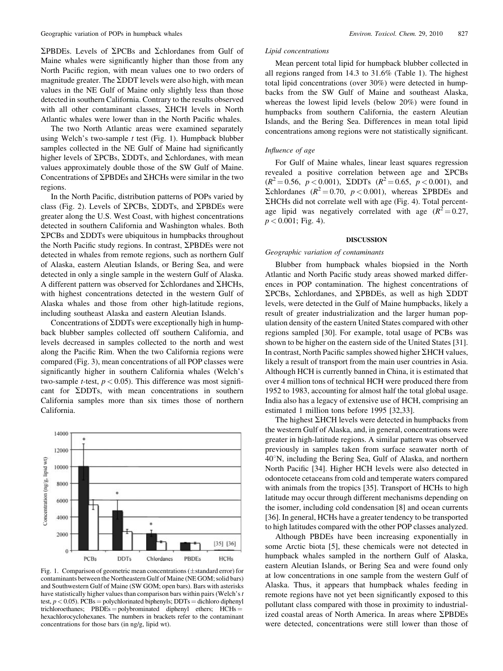$\Sigma$ PBDEs. Levels of  $\Sigma$ PCBs and  $\Sigma$ chlordanes from Gulf of Maine whales were significantly higher than those from any North Pacific region, with mean values one to two orders of magnitude greater. The  $\Sigma$ DDT levels were also high, with mean values in the NE Gulf of Maine only slightly less than those detected in southern California. Contrary to the results observed with all other contaminant classes,  $\Sigma HCH$  levels in North Atlantic whales were lower than in the North Pacific whales.

The two North Atlantic areas were examined separately using Welch's two-sample  $t$  test (Fig. 1). Humpback blubber samples collected in the NE Gulf of Maine had significantly higher levels of  $\Sigma$ PCBs,  $\Sigma$ DDTs, and  $\Sigma$ chlordanes, with mean values approximately double those of the SW Gulf of Maine. Concentrations of  $\Sigma$ PBDEs and  $\Sigma$ HCHs were similar in the two regions.

In the North Pacific, distribution patterns of POPs varied by class (Fig. 2). Levels of  $\Sigma$ PCBs,  $\Sigma$ DDTs, and  $\Sigma$ PBDEs were greater along the U.S. West Coast, with highest concentrations detected in southern California and Washington whales. Both  $\Sigma$ PCBs and  $\Sigma$ DDTs were ubiquitous in humpbacks throughout the North Pacific study regions. In contrast, SPBDEs were not detected in whales from remote regions, such as northern Gulf of Alaska, eastern Aleutian Islands, or Bering Sea, and were detected in only a single sample in the western Gulf of Alaska. A different pattern was observed for  $\Sigma$ chlordanes and  $\Sigma$ HCHs, with highest concentrations detected in the western Gulf of Alaska whales and those from other high-latitude regions, including southeast Alaska and eastern Aleutian Islands.

Concentrations of  $\Sigma$ DDTs were exceptionally high in humpback blubber samples collected off southern California, and levels decreased in samples collected to the north and west along the Pacific Rim. When the two California regions were compared (Fig. 3), mean concentrations of all POP classes were significantly higher in southern California whales (Welch's two-sample *t*-test,  $p < 0.05$ ). This difference was most significant for SDDTs, with mean concentrations in southern California samples more than six times those of northern California.



Fig. 1. Comparison of geometric mean concentrations ( $\pm$ standard error) for contaminants between the Northeastern Gulf of Maine (NE GOM; solid bars) and Southwestern Gulf of Maine (SW GOM; open bars). Bars with asterisks have statistically higher values than comparison bars within pairs (Welch's t test,  $p < 0.05$ ). PCBs = polychlorinated biphenyls; DDTs = dichloro diphenyl trichloroethanes;  $PBDEs = polybrominated$  diphenyl ethers;  $HCHs =$ hexachlorocyclohexanes. The numbers in brackets refer to the contaminant concentrations for those bars (in ng/g, lipid wt).

#### Lipid concentrations

Mean percent total lipid for humpback blubber collected in all regions ranged from 14.3 to 31.6% (Table 1). The highest total lipid concentrations (over 30%) were detected in humpbacks from the SW Gulf of Maine and southeast Alaska, whereas the lowest lipid levels (below 20%) were found in humpbacks from southern California, the eastern Aleutian Islands, and the Bering Sea. Differences in mean total lipid concentrations among regions were not statistically significant.

#### Influence of age

For Gulf of Maine whales, linear least squares regression revealed a positive correlation between age and  $\Sigma$ PCBs  $(R^2 = 0.56, p < 0.001)$ ,  $\Sigma$ DDTs  $(R^2 = 0.65, p < 0.001)$ , and  $\sum$ chlordanes ( $R^2 = 0.70$ ,  $p < 0.001$ ), whereas  $\sum$ PBDEs and SHCHs did not correlate well with age (Fig. 4). Total percentage lipid was negatively correlated with age  $(R^2 = 0.27,$  $p < 0.001$ ; Fig. 4).

#### DISCUSSION

#### Geographic variation of contaminants

Blubber from humpback whales biopsied in the North Atlantic and North Pacific study areas showed marked differences in POP contamination. The highest concentrations of  $\Sigma$ PCBs,  $\Sigma$ chlordanes, and  $\Sigma$ PBDEs, as well as high  $\Sigma$ DDT levels, were detected in the Gulf of Maine humpbacks, likely a result of greater industrialization and the larger human population density of the eastern United States compared with other regions sampled [30]. For example, total usage of PCBs was shown to be higher on the eastern side of the United States [31]. In contrast, North Pacific samples showed higher  $\Sigma$ HCH values, likely a result of transport from the main user countries in Asia. Although HCH is currently banned in China, it is estimated that over 4 million tons of technical HCH were produced there from 1952 to 1983, accounting for almost half the total global usage. India also has a legacy of extensive use of HCH, comprising an estimated 1 million tons before 1995 [32,33].

The highest  $\Sigma$ HCH levels were detected in humpbacks from the western Gulf of Alaska, and, in general, concentrations were greater in high-latitude regions. A similar pattern was observed previously in samples taken from surface seawater north of  $40^\circ$ N, including the Bering Sea, Gulf of Alaska, and northern North Pacific [34]. Higher HCH levels were also detected in odontocete cetaceans from cold and temperate waters compared with animals from the tropics [35]. Transport of HCHs to high latitude may occur through different mechanisms depending on the isomer, including cold condensation [8] and ocean currents [36]. In general, HCHs have a greater tendency to be transported to high latitudes compared with the other POP classes analyzed.

Although PBDEs have been increasing exponentially in some Arctic biota [5], these chemicals were not detected in humpback whales sampled in the northern Gulf of Alaska, eastern Aleutian Islands, or Bering Sea and were found only at low concentrations in one sample from the western Gulf of Alaska. Thus, it appears that humpback whales feeding in remote regions have not yet been significantly exposed to this pollutant class compared with those in proximity to industrialized coastal areas of North America. In areas where  $\Sigma$ PBDEs were detected, concentrations were still lower than those of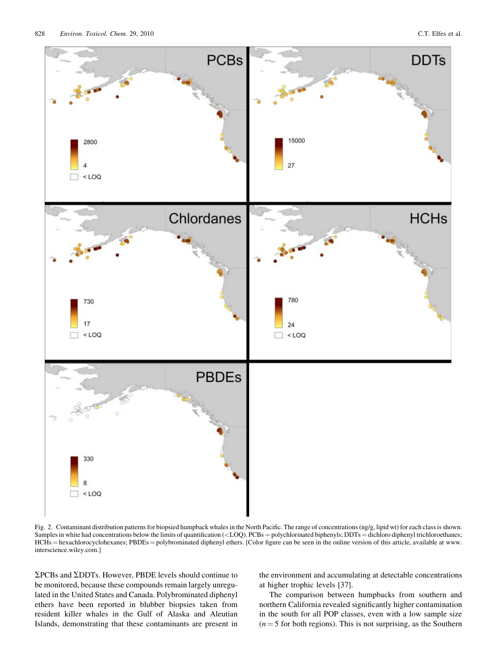

Fig. 2. Contaminant distribution patterns for biopsied humpback whales in the North Pacific. The range of concentrations (ng/g, lipid wt) for each class is shown. Samples in white had concentrations below the limits of quantification ( $\langle$ LOQ). PCBs = polychlorinated biphenyls; DDTs = dichloro diphenyl trichloroethanes; HCHs = hexachlorocyclohexanes; PBDEs = polybrominated diphenyl ethers. [Color figure can be seen in the online version of this article, available at www. interscience.wiley.com.]

 $\Sigma$ PCBs and  $\Sigma$ DDTs. However, PBDE levels should continue to be monitored, because these compounds remain largely unregulated in the United States and Canada. Polybrominated diphenyl ethers have been reported in blubber biopsies taken from resident killer whales in the Gulf of Alaska and Aleutian Islands, demonstrating that these contaminants are present in

the environment and accumulating at detectable concentrations at higher trophic levels [37].

The comparison between humpbacks from southern and northern California revealed significantly higher contamination in the south for all POP classes, even with a low sample size  $(n = 5$  for both regions). This is not surprising, as the Southern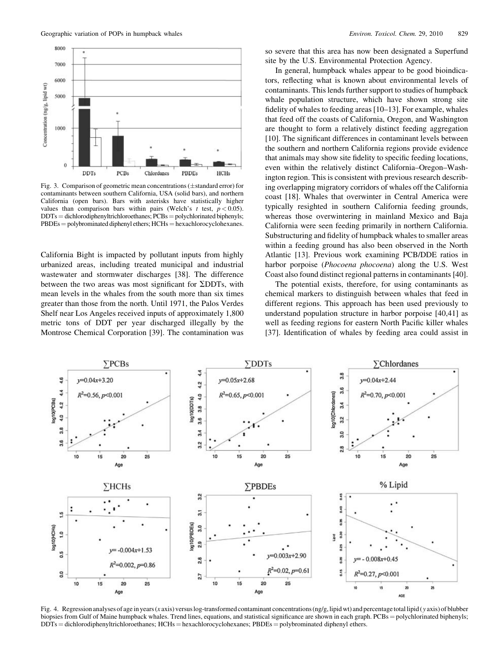

Fig. 3. Comparison of geometric mean concentrations ( $\pm$ standard error) for contaminants between southern California, USA (solid bars), and northern California (open bars). Bars with asterisks have statistically higher values than comparison bars within pairs (Welch's  $t$  test,  $p < 0.05$ ).  $DDTs =$  dichlorodiphenyltrichloroethanes;  $PCBs =$  polychlorinated biphenyls;  $PBDEs = polybrominated diphenyl others; HCHs = hexachlorocyclohexanes.$ 

California Bight is impacted by pollutant inputs from highly urbanized areas, including treated municipal and industrial wastewater and stormwater discharges [38]. The difference between the two areas was most significant for  $\Sigma$ DDTs, with mean levels in the whales from the south more than six times greater than those from the north. Until 1971, the Palos Verdes Shelf near Los Angeles received inputs of approximately 1,800 metric tons of DDT per year discharged illegally by the Montrose Chemical Corporation [39]. The contamination was so severe that this area has now been designated a Superfund site by the U.S. Environmental Protection Agency.

In general, humpback whales appear to be good bioindicators, reflecting what is known about environmental levels of contaminants. This lends further support to studies of humpback whale population structure, which have shown strong site fidelity of whales to feeding areas [10–13]. For example, whales that feed off the coasts of California, Oregon, and Washington are thought to form a relatively distinct feeding aggregation [10]. The significant differences in contaminant levels between the southern and northern California regions provide evidence that animals may show site fidelity to specific feeding locations, even within the relatively distinct California–Oregon–Washington region. This is consistent with previous research describing overlapping migratory corridors of whales off the California coast [18]. Whales that overwinter in Central America were typically resighted in southern California feeding grounds, whereas those overwintering in mainland Mexico and Baja California were seen feeding primarily in northern California. Substructuring and fidelity of humpback whales to smaller areas within a feeding ground has also been observed in the North Atlantic [13]. Previous work examining PCB/DDE ratios in harbor porpoise (Phocoena phocoena) along the U.S. West Coast also found distinct regional patterns in contaminants [40].

The potential exists, therefore, for using contaminants as chemical markers to distinguish between whales that feed in different regions. This approach has been used previously to understand population structure in harbor porpoise [40,41] as well as feeding regions for eastern North Pacific killer whales [37]. Identification of whales by feeding area could assist in



Fig. 4. Regression analyses of age in years (x axis) versus log-transformed contaminant concentrations (ng/g, lipid wt) and percentage total lipid (y axis) of blubber biopsies from Gulf of Maine humpback whales. Trend lines, equations, and statistical significance are shown in each graph. PCBs = polychlorinated biphenyls; DDTs = dichlorodiphenyltrichloroethanes; HCHs = hexachlorocyclohexanes; PBDEs = polybrominated diphenyl ethers.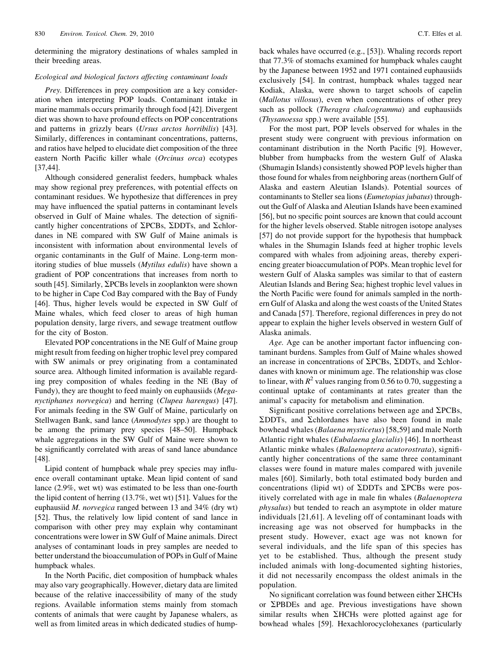determining the migratory destinations of whales sampled in their breeding areas.

#### Ecological and biological factors affecting contaminant loads

Prey. Differences in prey composition are a key consideration when interpreting POP loads. Contaminant intake in marine mammals occurs primarily through food [42]. Divergent diet was shown to have profound effects on POP concentrations and patterns in grizzly bears (Ursus arctos horribilis) [43]. Similarly, differences in contaminant concentrations, patterns, and ratios have helped to elucidate diet composition of the three eastern North Pacific killer whale (Orcinus orca) ecotypes [37,44].

Although considered generalist feeders, humpback whales may show regional prey preferences, with potential effects on contaminant residues. We hypothesize that differences in prey may have influenced the spatial patterns in contaminant levels observed in Gulf of Maine whales. The detection of significantly higher concentrations of  $\Sigma$ PCBs,  $\Sigma$ DDTs, and  $\Sigma$ chlordanes in NE compared with SW Gulf of Maine animals is inconsistent with information about environmental levels of organic contaminants in the Gulf of Maine. Long-term monitoring studies of blue mussels (Mytilus edulis) have shown a gradient of POP concentrations that increases from north to south [45]. Similarly,  $\Sigma$ PCBs levels in zooplankton were shown to be higher in Cape Cod Bay compared with the Bay of Fundy [46]. Thus, higher levels would be expected in SW Gulf of Maine whales, which feed closer to areas of high human population density, large rivers, and sewage treatment outflow for the city of Boston.

Elevated POP concentrations in the NE Gulf of Maine group might result from feeding on higher trophic level prey compared with SW animals or prey originating from a contaminated source area. Although limited information is available regarding prey composition of whales feeding in the NE (Bay of Fundy), they are thought to feed mainly on euphausiids (Meganyctiphanes norvegica) and herring (Clupea harengus) [47]. For animals feeding in the SW Gulf of Maine, particularly on Stellwagen Bank, sand lance (Ammodytes spp.) are thought to be among the primary prey species [48–50]. Humpback whale aggregations in the SW Gulf of Maine were shown to be significantly correlated with areas of sand lance abundance [48].

Lipid content of humpback whale prey species may influence overall contaminant uptake. Mean lipid content of sand lance (2.9%, wet wt) was estimated to be less than one-fourth the lipid content of herring (13.7%, wet wt) [51]. Values for the euphausiid M. norvegica ranged between 13 and 34% (dry wt) [52]. Thus, the relatively low lipid content of sand lance in comparison with other prey may explain why contaminant concentrations were lower in SW Gulf of Maine animals. Direct analyses of contaminant loads in prey samples are needed to better understand the bioaccumulation of POPs in Gulf of Maine humpback whales.

In the North Pacific, diet composition of humpback whales may also vary geographically. However, dietary data are limited because of the relative inaccessibility of many of the study regions. Available information stems mainly from stomach contents of animals that were caught by Japanese whalers, as well as from limited areas in which dedicated studies of humpback whales have occurred (e.g., [53]). Whaling records report that 77.3% of stomachs examined for humpback whales caught by the Japanese between 1952 and 1971 contained euphausiids exclusively [54]. In contrast, humpback whales tagged near Kodiak, Alaska, were shown to target schools of capelin (Mallotus villosus), even when concentrations of other prey such as pollock (*Theragra chalcogramma*) and euphausiids (Thysanoessa spp.) were available [55].

For the most part, POP levels observed for whales in the present study were congruent with previous information on contaminant distribution in the North Pacific [9]. However, blubber from humpbacks from the western Gulf of Alaska (Shumagin Islands) consistently showed POP levels higher than those found for whales from neighboring areas (northern Gulf of Alaska and eastern Aleutian Islands). Potential sources of contaminants to Steller sea lions (Eumetopias jubatus) throughout the Gulf of Alaska and Aleutian Islands have been examined [56], but no specific point sources are known that could account for the higher levels observed. Stable nitrogen isotope analyses [57] do not provide support for the hypothesis that humpback whales in the Shumagin Islands feed at higher trophic levels compared with whales from adjoining areas, thereby experiencing greater bioaccumulation of POPs. Mean trophic level for western Gulf of Alaska samples was similar to that of eastern Aleutian Islands and Bering Sea; highest trophic level values in the North Pacific were found for animals sampled in the northern Gulf of Alaska and along the west coasts of the United States and Canada [57]. Therefore, regional differences in prey do not appear to explain the higher levels observed in western Gulf of Alaska animals.

Age. Age can be another important factor influencing contaminant burdens. Samples from Gulf of Maine whales showed an increase in concentrations of  $\Sigma$ PCBs,  $\Sigma$ DDTs, and  $\Sigma$ chlordanes with known or minimum age. The relationship was close to linear, with  $R^2$  values ranging from 0.56 to 0.70, suggesting a continual uptake of contaminants at rates greater than the animal's capacity for metabolism and elimination.

Significant positive correlations between age and  $\Sigma$ PCBs,  $\Sigma$ DDTs, and  $\Sigma$ chlordanes have also been found in male bowhead whales (Balaena mysticetus) [58,59] and male North Atlantic right whales (Eubalaena glacialis) [46]. In northeast Atlantic minke whales (Balaenoptera acutorostrata), significantly higher concentrations of the same three contaminant classes were found in mature males compared with juvenile males [60]. Similarly, both total estimated body burden and concentrations (lipid wt) of  $\Sigma$ DDTs and  $\Sigma$ PCBs were positively correlated with age in male fin whales (Balaenoptera physalus) but tended to reach an asymptote in older mature individuals [21,61]. A leveling off of contaminant loads with increasing age was not observed for humpbacks in the present study. However, exact age was not known for several individuals, and the life span of this species has yet to be established. Thus, although the present study included animals with long-documented sighting histories, it did not necessarily encompass the oldest animals in the population.

No significant correlation was found between either  $\Sigma$ HCHs or SPBDEs and age. Previous investigations have shown similar results when  $\Sigma$ HCHs were plotted against age for bowhead whales [59]. Hexachlorocyclohexanes (particularly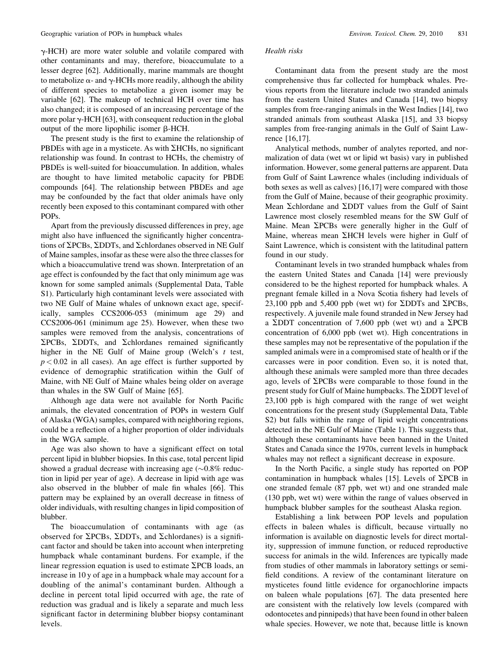$\gamma$ -HCH) are more water soluble and volatile compared with other contaminants and may, therefore, bioaccumulate to a lesser degree [62]. Additionally, marine mammals are thought to metabolize  $\alpha$ - and  $\gamma$ -HCHs more readily, although the ability of different species to metabolize a given isomer may be variable [62]. The makeup of technical HCH over time has also changed; it is composed of an increasing percentage of the more polar  $\gamma$ -HCH [63], with consequent reduction in the global output of the more lipophilic isomer  $\beta$ -HCH.

The present study is the first to examine the relationship of PBDEs with age in a mysticete. As with  $\Sigma$ HCHs, no significant relationship was found. In contrast to HCHs, the chemistry of PBDEs is well-suited for bioaccumulation. In addition, whales are thought to have limited metabolic capacity for PBDE compounds [64]. The relationship between PBDEs and age may be confounded by the fact that older animals have only recently been exposed to this contaminant compared with other POPs.

Apart from the previously discussed differences in prey, age might also have influenced the significantly higher concentrations of  $\Sigma$ PCBs,  $\Sigma$ DDTs, and  $\Sigma$ chlordanes observed in NE Gulf of Maine samples, insofar as these were also the three classes for which a bioaccumulative trend was shown. Interpretation of an age effect is confounded by the fact that only minimum age was known for some sampled animals (Supplemental Data, Table S1). Particularly high contaminant levels were associated with two NE Gulf of Maine whales of unknown exact age, specifically, samples CCS2006-053 (minimum age 29) and CCS2006-061 (minimum age 25). However, when these two samples were removed from the analysis, concentrations of  $\Sigma$ PCBs,  $\Sigma$ DDTs, and  $\Sigma$ chlordanes remained significantly higher in the NE Gulf of Maine group (Welch's  $t$  test,  $p < 0.02$  in all cases). An age effect is further supported by evidence of demographic stratification within the Gulf of Maine, with NE Gulf of Maine whales being older on average than whales in the SW Gulf of Maine [65].

Although age data were not available for North Pacific animals, the elevated concentration of POPs in western Gulf of Alaska (WGA) samples, compared with neighboring regions, could be a reflection of a higher proportion of older individuals in the WGA sample.

Age was also shown to have a significant effect on total percent lipid in blubber biopsies. In this case, total percent lipid showed a gradual decrease with increasing age  $(\sim 0.8\%$  reduction in lipid per year of age). A decrease in lipid with age was also observed in the blubber of male fin whales [66]. This pattern may be explained by an overall decrease in fitness of older individuals, with resulting changes in lipid composition of blubber.

The bioaccumulation of contaminants with age (as observed for  $\Sigma$ PCBs,  $\Sigma$ DDTs, and  $\Sigma$ chlordanes) is a significant factor and should be taken into account when interpreting humpback whale contaminant burdens. For example, if the linear regression equation is used to estimate  $\Sigma$ PCB loads, an increase in 10 y of age in a humpback whale may account for a doubling of the animal's contaminant burden. Although a decline in percent total lipid occurred with age, the rate of reduction was gradual and is likely a separate and much less significant factor in determining blubber biopsy contaminant levels.

#### Health risks

Contaminant data from the present study are the most comprehensive thus far collected for humpback whales. Previous reports from the literature include two stranded animals from the eastern United States and Canada [14], two biopsy samples from free-ranging animals in the West Indies [14], two stranded animals from southeast Alaska [15], and 33 biopsy samples from free-ranging animals in the Gulf of Saint Lawrence [16,17].

Analytical methods, number of analytes reported, and normalization of data (wet wt or lipid wt basis) vary in published information. However, some general patterns are apparent. Data from Gulf of Saint Lawrence whales (including individuals of both sexes as well as calves) [16,17] were compared with those from the Gulf of Maine, because of their geographic proximity. Mean  $\Sigma$ chlordane and  $\Sigma$ DDT values from the Gulf of Saint Lawrence most closely resembled means for the SW Gulf of Maine. Mean  $\Sigma$ PCBs were generally higher in the Gulf of Maine, whereas mean  $\Sigma$ HCH levels were higher in Gulf of Saint Lawrence, which is consistent with the latitudinal pattern found in our study.

Contaminant levels in two stranded humpback whales from the eastern United States and Canada [14] were previously considered to be the highest reported for humpback whales. A pregnant female killed in a Nova Scotia fishery had levels of 23,100 ppb and 5,400 ppb (wet wt) for  $\Sigma$ DDTs and  $\Sigma$ PCBs, respectively. A juvenile male found stranded in New Jersey had a  $\Sigma$ DDT concentration of 7,600 ppb (wet wt) and a  $\Sigma$ PCB concentration of 6,000 ppb (wet wt). High concentrations in these samples may not be representative of the population if the sampled animals were in a compromised state of health or if the carcasses were in poor condition. Even so, it is noted that, although these animals were sampled more than three decades ago, levels of  $\Sigma$ PCBs were comparable to those found in the present study for Gulf of Maine humpbacks. The  $\Sigma$ DDT level of 23,100 ppb is high compared with the range of wet weight concentrations for the present study (Supplemental Data, Table S2) but falls within the range of lipid weight concentrations detected in the NE Gulf of Maine (Table 1). This suggests that, although these contaminants have been banned in the United States and Canada since the 1970s, current levels in humpback whales may not reflect a significant decrease in exposure.

In the North Pacific, a single study has reported on POP contamination in humpback whales [15]. Levels of  $\Sigma$ PCB in one stranded female (87 ppb, wet wt) and one stranded male (130 ppb, wet wt) were within the range of values observed in humpback blubber samples for the southeast Alaska region.

Establishing a link between POP levels and population effects in baleen whales is difficult, because virtually no information is available on diagnostic levels for direct mortality, suppression of immune function, or reduced reproductive success for animals in the wild. Inferences are typically made from studies of other mammals in laboratory settings or semifield conditions. A review of the contaminant literature on mysticetes found little evidence for organochlorine impacts on baleen whale populations [67]. The data presented here are consistent with the relatively low levels (compared with odontocetes and pinnipeds) that have been found in other baleen whale species. However, we note that, because little is known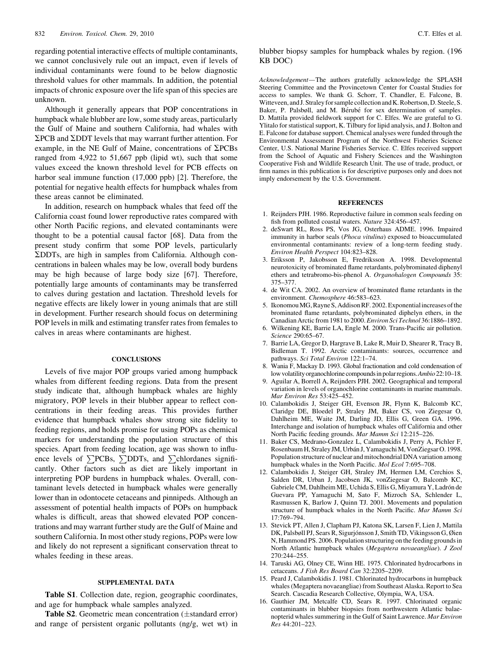regarding potential interactive effects of multiple contaminants, we cannot conclusively rule out an impact, even if levels of individual contaminants were found to be below diagnostic threshold values for other mammals. In addition, the potential impacts of chronic exposure over the life span of this species are unknown.

Although it generally appears that POP concentrations in humpback whale blubber are low, some study areas, particularly the Gulf of Maine and southern California, had whales with  $\Sigma$ PCB and  $\Sigma$ DDT levels that may warrant further attention. For example, in the NE Gulf of Maine, concentrations of  $\Sigma$ PCBs ranged from 4,922 to 51,667 ppb (lipid wt), such that some values exceed the known threshold level for PCB effects on harbor seal immune function (17,000 ppb) [2]. Therefore, the potential for negative health effects for humpback whales from these areas cannot be eliminated.

In addition, research on humpback whales that feed off the California coast found lower reproductive rates compared with other North Pacific regions, and elevated contaminants were thought to be a potential causal factor [68]. Data from the present study confirm that some POP levels, particularly SDDTs, are high in samples from California. Although concentrations in baleen whales may be low, overall body burdens may be high because of large body size [67]. Therefore, potentially large amounts of contaminants may be transferred to calves during gestation and lactation. Threshold levels for negative effects are likely lower in young animals that are still in development. Further research should focus on determining POP levels in milk and estimating transfer rates from females to calves in areas where contaminants are highest.

#### **CONCLUSIONS**

Levels of five major POP groups varied among humpback whales from different feeding regions. Data from the present study indicate that, although humpback whales are highly migratory, POP levels in their blubber appear to reflect concentrations in their feeding areas. This provides further evidence that humpback whales show strong site fidelity to feeding regions, and holds promise for using POPs as chemical markers for understanding the population structure of this species. Apart from feeding location, age was shown to influence levels of  $\Sigma$ PCBs,  $\Sigma$ DDTs, and  $\Sigma$ chlordanes significantly. Other factors such as diet are likely important in interpreting POP burdens in humpback whales. Overall, contaminant levels detected in humpback whales were generally lower than in odontocete cetaceans and pinnipeds. Although an assessment of potential health impacts of POPs on humpback whales is difficult, areas that showed elevated POP concentrations and may warrant further study are the Gulf of Maine and southern California. In most other study regions, POPs were low and likely do not represent a significant conservation threat to whales feeding in these areas.

#### SUPPLEMENTAL DATA

Table S1. Collection date, region, geographic coordinates, and age for humpback whale samples analyzed.

Table S2. Geometric mean concentration  $(\pm$ standard error) and range of persistent organic pollutants (ng/g, wet wt) in

#### blubber biopsy samples for humpback whales by region. (196 KB DOC)

Acknowledgement—The authors gratefully acknowledge the SPLASH Steering Committee and the Provincetown Center for Coastal Studies for access to samples. We thank G. Schorr, T. Chandler, E. Falcone, B. Witteveen,and J. Straley for sample collectionand K. Robertson, D. Steele, S. Baker, P. Palsbøll, and M. Bérubé for sex determination of samples. D. Mattila provided fieldwork support for C. Elfes. We are grateful to G. Ylitalo for statistical support, K. Tilbury for lipid analysis, and J. Bolton and E. Falcone for database support. Chemical analyses were funded through the Environmental Assessment Program of the Northwest Fisheries Science Center, U.S. National Marine Fisheries Service. C. Elfes received support from the School of Aquatic and Fishery Sciences and the Washington Cooperative Fish and Wildlife Research Unit. The use of trade, product, or firm names in this publication is for descriptive purposes only and does not imply endorsement by the U.S. Government.

#### **REFERENCES**

- 1. Reijnders PJH. 1986. Reproductive failure in common seals feeding on fish from polluted coastal waters. Nature 324:456–457.
- 2. deSwart RL, Ross PS, Vos JG, Osterhaus ADME. 1996. Impaired immunity in harbor seals (Phoca vitulina) exposed to bioaccumulated environmental contaminants: review of a long-term feeding study. Environ Health Perspect 104:823–828.
- 3. Eriksson P, Jakobsson E, Fredriksson A. 1998. Developmental neurotoxicity of brominated flame retardants, polybrominated diphenyl ethers and tetrabromo-bis-phenol A. Organohalogen Compounds 35: 375–377.
- 4. de Wit CA. 2002. An overview of brominated flame retardants in the environment. Chemosphere 46:583–623.
- 5. Ikonomou MG, Rayne S, AddisonRF. 2002. Exponentialincreases of the brominated flame retardants, polybrominated diphelyn ethers, in the Canadian Arctic from 1981 to 2000.Environ Sci Technol 36:1886–1892.
- 6. Wilkening KE, Barrie LA, Engle M. 2000. Trans-Pacific air pollution. Science 290:65–67.
- 7. Barrie LA, Gregor D, Hargrave B, Lake R, Muir D, Shearer R, Tracy B, Bidleman T. 1992. Arctic contaminants: sources, occurrence and pathways. Sci Total Environ 122:1–74.
- 8. Wania F, Mackay D. 1993. Global fractionation and cold condensation of low volatility organochlorine compounds in polar regions. Ambio 22:10-18.
- 9. Aguilar A, Borrell A, Reijnders PJH. 2002. Geographical and temporal variation in levels of organochlorine contaminants in marine mammals. Mar Environ Res 53:425–452.
- 10. Calambokidis J, Steiger GH, Evenson JR, Flynn K, Balcomb KC, Claridge DE, Bloedel P, Straley JM, Baker CS, von Ziegesar O, Dahlheim ME, Waite JM, Darling JD, Ellis G, Green GA. 1996. Interchange and isolation of humpback whales off California and other North Pacific feeding grounds. Mar Mamm Sci 12:215–226.
- 11. Baker CS, Medrano-Gonzalez L, Calambokidis J, Perry A, Pichler F, Rosenbaum H, Straley JM, Urbán J, Yamaguchi M, VonZiegsar O. 1998. Population structure of nuclear and mitochondrial DNA variation among humpback whales in the North Pacific. Mol Ecol 7:695-708.
- 12. Calambokidis J, Steiger GH, Straley JM, Hermen LM, Cerchios S, Salden DR, Urban J, Jacobsen JK, vonZiegesar O, Balcomb KC, Gabriele CM, Dahlheim ME, Uchida S, Ellis G, Miyamura Y, Ladrón de Guevara PP, Yamaguchi M, Sato F, Mizroch SA, Schlender L, Rasmussen K, Barlow J, Quinn TJ. 2001. Movements and population structure of humpback whales in the North Pacific. Mar Mamm Sci 17:769–794.
- 13. Stevick PT, Allen J, Clapham PJ, Katona SK, Larsen F, Lien J, Mattila DK, Palsbøll PJ, Sears R, Sigurjónsson J, Smith TD, Vikingsson G, Øien N, Hammond PS. 2006. Population structuring on the feeding grounds in North Atlantic humpback whales (Megaptera novaeangliae). J Zool 270:244–255.
- 14. Taruski AG, Olney CE, Winn HE. 1975. Chlorinated hydrocarbons in cetaceans. J Fish Res Board Can 32:2205–2209.
- 15. Peard J, Calambokidis J. 1981. Chlorinated hydrocarbons in humpback whales (Megaptera novaeangliae) from Southeast Alaska. Report to Sea Search. Cascadia Research Collective, Olympia, WA, USA.
- 16. Gauthier JM, Metcalfe CD, Sears R. 1997. Chlorinated organic contaminants in blubber biopsies from northwestern Atlantic balaenopterid whales summering in the Gulf of Saint Lawrence. Mar Environ Res 44:201–223.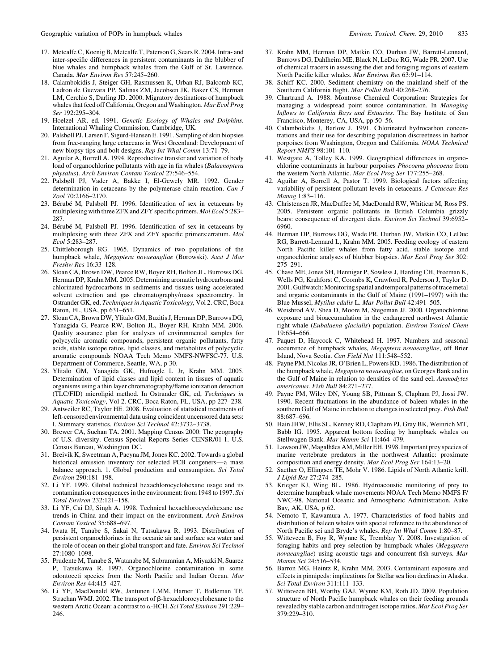- 17. Metcalfe C, Koenig B, Metcalfe T, Paterson G, Sears R. 2004. Intra- and inter-specific differences in persistent contaminants in the blubber of blue whales and humpback whales from the Gulf of St. Lawrence, Canada. Mar Environ Res 57:245–260.
- 18. Calambokidis J, Steiger GH, Rasmussen K, Urban RJ, Balcomb KC, Ladron de Guevara PP, Salinas ZM, Jacobsen JK, Baker CS, Herman LM, Cerchio S, Darling JD. 2000. Migratory destinations of humpback whales that feed off California, Oregon and Washington. Mar Ecol Prog Ser 192:295–304.
- 19. Hoelzel AR, ed. 1991. Genetic Ecology of Whales and Dolphins. International Whaling Commission, Cambridge, UK.
- 20. Palsbøll PJ, Larsen F, Sigurd-Hansen E. 1991. Sampling of skin biopsies from free-ranging large cetaceans in West Greenland: Development of new biopsy tips and bolt designs. Rep Int Whal Comm 13:71–79.
- 21. Aguilar A, Borrell A. 1994. Reproductive transfer and variation of body load of organochlorine pollutants with age in fin whales (Balaenoptera physalus). Arch Environ Contam Toxicol 27:546–554.
- 22. Palsbøll PJ, Vader A, Bakke I, El-Gewely MR. 1992. Gender determination in cetaceans by the polymerase chain reaction. Can J Zool 70:2166–2170.
- 23. Bérubé M, Palsbøll PJ. 1996. Identification of sex in cetaceans by multiplexing with three ZFX and ZFY specific primers. Mol Ecol 5:283– 287.
- 24. Bérubé M, Palsbøll PJ. 1996. Identification of sex in cetaceans by multiplexing with three ZFX and ZFY specific primers:erratum. Mol Ecol 5:283–287.
- 25. Chittleborough RG. 1965. Dynamics of two populations of the humpback whale, Megaptera novaeangliae (Borowski). Aust J Mar Freshw Res 16:33–128.
- 26. Sloan CA, Brown DW, Pearce RW, Boyer RH, Bolton JL, Burrows DG, Herman DP, Krahn MM. 2005. Determining aromatic hydrocarbons and chlorinated hydrocarbons in sediments and tissues using accelerated solvent extraction and gas chromatography/mass spectrometry. In Ostrander GK, ed, Techniques in Aquatic Toxicology, Vol 2. CRC, Boca Raton, FL, USA, pp 631–651.
- 27. Sloan CA, Brown DW, Ylitalo GM, Buzitis J, Herman DP, Burrows DG, Yanagida G, Pearce RW, Bolton JL, Boyer RH, Krahn MM. 2006. Quality assurance plan for analyses of environmental samples for polycyclic aromatic compounds, persistent organic pollutants, fatty acids, stable isotope ratios, lipid classes, and metabolites of polycyclic aromatic compounds NOAA Tech Memo NMFS-NWFSC-77. U.S. Department of Commerce, Seattle, WA, p 30.
- 28. Ylitalo GM, Yanagida GK, Hufnagle L Jr, Krahn MM. 2005. Determination of lipid classes and lipid content in tissues of aquatic organisms using a thin layer chromatography/flame ionization detection (TLC/FID) microlipid method. In Ostrander GK, ed, Techniques in Aquatic Toxicology, Vol 2. CRC, Boca Raton, FL, USA, pp 227–238.
- 29. Antweiler RC, Taylor HE. 2008. Evaluation of statistical treatments of left-censored environmental data using coincident uncensored data sets: I. Summary statistics. Environ Sci Technol 42:3732–3738.
- 30. Brewer CA, Suchan TA. 2001. Mapping Census 2000: The geography of U.S. diversity. Census Special Reports Series CENSR/01-1. U.S. Census Bureau, Washington DC.
- 31. Breivik K, Sweetman A, Pacyna JM, Jones KC. 2002. Towards a global historical emission inventory for selected PCB congeners—a mass balance approach. 1. Global production and consumption. Sci Total Environ 290:181–198.
- 32. Li YF. 1999. Global technical hexachlorocyclohexane usage and its contamination consequences in the environment: from 1948 to 1997. Sci Total Environ 232:121–158.
- 33. Li YF, Cai DJ, Singh A. 1998. Technical hexachlorocyclohexane use trends in China and their impact on the environment. Arch Environ Contam Toxicol 35:688–697.
- 34. Iwata H, Tanabe S, Sakai N, Tatsukawa R. 1993. Distribution of persistent organochlorines in the oceanic air and surface sea water and the role of ocean on their global transport and fate. Environ Sci Technol 27:1080–1098.
- 35. Prudente M, Tanabe S, Watanabe M, Subramnian A, Miyazki N, Suarez P, Tatsukawa R. 1997. Organochlorine contamination in some odontoceti species from the North Pacific and Indian Ocean. Mar Environ Res 44:415–427.
- 36. Li YF, MacDonald RW, Jantunen LMM, Harner T, Bidleman TF, Strachan WMJ. 2002. The transport of  $\beta$ -hexachlorocyclohexane to the western Arctic Ocean: a contrast to a-HCH. Sci Total Environ 291:229– 246.
- 37. Krahn MM, Herman DP, Matkin CO, Durban JW, Barrett-Lennard, Burrows DG, Dahlheim ME, Black N, LeDuc RG, Wade PR. 2007. Use of chemical tracers in assessing the diet and foraging regions of eastern North Pacific killer whales. Mar Environ Res 63:91–114.
- 38. Schiff KC. 2000. Sediment chemistry on the mainland shelf of the Southern California Bight. Mar Pollut Bull 40:268–276.
- 39. Chartrand A. 1988. Montrose Chemical Corporation: Strategies for managing a widespread point source contamination. In Managing Inflows to California Bays and Estuaries. The Bay Institute of San Francisco, Monterey, CA, USA, pp 50–56.
- 40. Calambokidis J, Barlow J. 1991. Chlorinated hydrocarbon concentrations and their use for describing population discreetness in harbor porpoises from Washington, Oregon and California. NOAA Technical Report NMFS 98:101–110.
- 41. Westgate A, Tolley KA. 1999. Geographical differences in organochlorine contaminants in harbour porpoises Phocoena phocoena from the western North Atlantic. Mar Ecol Prog Ser 177:255–268.
- 42. Aguilar A, Borrell A, Pastor T. 1999. Biological factors affecting variability of persistent pollutant levels in cetaceans. J Cetacean Res Manag 1:83–116.
- 43. Christensen JR, MacDuffee M, MacDonald RW, Whiticar M, Ross PS. 2005. Persistent organic pollutants in British Columbia grizzly bears: consequence of divergent diets. Environ Sci Technol 39:6952– 6960.
- 44. Herman DP, Burrows DG, Wade PR, Durban JW, Matkin CO, LeDuc RG, Barrett-Lennard L, Krahn MM. 2005. Feeding ecology of eastern North Pacific killer whales from fatty acid, stable isotope and organochlorine analyses of blubber biopsies. Mar Ecol Prog Ser 302: 275–291.
- 45. Chase ME, Jones SH, Hennigar P, Sowless J, Harding CH, Freeman K, Wells PG, Krahforst C, Coombs K, Crawford R, Pederson J, Taylor D. 2001. Gulfwatch: Monitoring spatial and temporal patterns of trace metal and organic contaminants in the Gulf of Maine (1991–1997) with the Blue Mussel, Mytilus edulis L. Mar Pollut Bull 42:491–505.
- 46. Weisbrod AV, Shea D, Moore M, Stegeman JJ. 2000. Organochlorine exposure and bioaccumulation in the endangered northwest Atlantic right whale (Eubalaena glacialis) population. Environ Toxicol Chem 19:654–666.
- 47. Paquet D, Haycock C, Whitehead H. 1997. Numbers and seasonal occurrence of humpback whales, Megaptera novaeangliae, off Brier Island, Nova Scotia. Can Field Nat 111:548–552.
- 48. Payne PM, Nicolas JR, O'Brien L, Powers KD. 1986. The distribution of the humpback whale, Megaptera novaeangliae, on Georges Bank and in the Gulf of Maine in relation to densities of the sand eel, Ammodytes americanus. Fish Bull 84:271–277.
- 49. Payne PM, Wiley DN, Young SB, Pittman S, Clapham PJ, Jossi JW. 1990. Recent fluctuations in the abundance of baleen whales in the southern Gulf of Maine in relation to changes in selected prey. Fish Bull 88:687–696.
- 50. Hain JHW, Ellis SL, Kenney RD, Clapham PJ, Gray BK, Weinrich MT, Babb IG. 1995. Apparent bottom feeding by humpback whales on Stellwagen Bank. Mar Mamm Sci 11:464–479.
- 51. Lawson JW, Magalhães AM, Miller EH. 1998. Important prey species of marine vertebrate predators in the northwest Atlantic: proximate composition and energy density. Mar Ecol Prog Ser 164:13–20.
- 52. Saether O, Ellingsen TE, Mohr V. 1986. Lipids of North Atlantic krill. J Lipid Res 27:274–285.
- 53. Krieger KJ, Wing BL. 1986. Hydroacoustic monitoring of prey to determine humpback whale movements NOAA Tech Memo NMFS F/ NWC-98. National Oceanic and Atmospheric Administration, Auke Bay, AK, USA, p 62.
- 54. Nemoto T, Kawamura A. 1977. Characteristics of food habits and distribution of baleen whales with special reference to the abundance of North Pacific sei and Bryde's whales. Rep Int Whal Comm 1:80–87.
- 55. Witteveen B, Foy R, Wynne K, Tremblay Y. 2008. Investigation of foraging habits and prey selection by humpback whales (Megaptera novaeangliae) using acoustic tags and concurrent fish surveys. Mar Mamm Sci 24:516–534.
- 56. Barron MG, Heintz R, Krahn MM. 2003. Contaminant exposure and effects in pinnipeds: implications for Stellar sea lion declines in Alaska. Sci Total Environ 311:111–133.
- 57. Witteveen BH, Worthy GAJ, Wynne KM, Roth JD. 2009. Population structure of North Pacific humpback whales on their feeding grounds revealed by stable carbon and nitrogen isotope ratios. Mar Ecol Prog Ser 379:229–310.